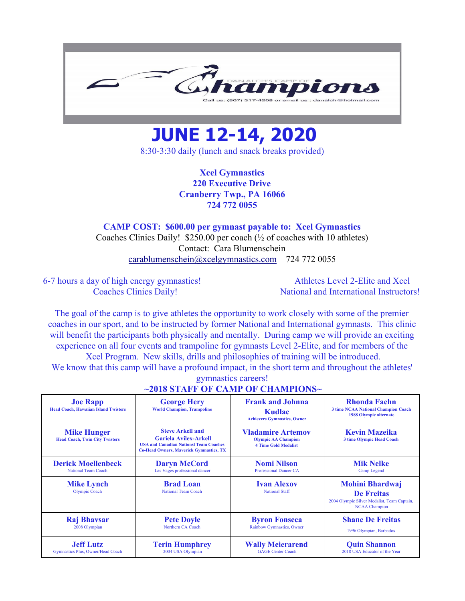

## **JUNE 12-14, 2020**

8:30-3:30 daily (lunch and snack breaks provided)

**Xcel Gymnastics 220 Executive Drive Cranberry Twp., PA 16066 724 772 0055**

## **CAMP COST: \$600.00 per gymnast payable to: Xcel Gymnastics**

Coaches Clinics Daily! \$250.00 per coach (½ of coaches with 10 athletes) Contact: Cara Blumenschein [carablumenschein@xcelgymnastics.com](mailto:carablumenschein@xcelgymnastics.com) 724 772 0055

6-7 hours a day of high energy gymnastics! Athletes Level 2-Elite and Xcel

Coaches Clinics Daily! National and International Instructors!

The goal of the camp is to give athletes the opportunity to work closely with some of the premier coaches in our sport, and to be instructed by former National and International gymnasts. This clinic will benefit the participants both physically and mentally. During camp we will provide an exciting experience on all four events and trampoline for gymnasts Level 2-Elite, and for members of the Xcel Program. New skills, drills and philosophies of training will be introduced.

We know that this camp will have a profound impact, in the short term and throughout the athletes' gymnastics careers!

| <b>Joe Rapp</b><br><b>Head Coach, Hawaiian Island Twisters</b> | <b>George Hery</b><br><b>World Champion, Trampoline</b>                                                                                                    | <b>Frank and Johnna</b><br>Kudlac<br><b>Achievers Gymnastics, Owner</b>               | Rhonda Faehn<br><b>3 time NCAA National Champion Coach</b><br><b>1988 Olympic alternate</b>                        |  |
|----------------------------------------------------------------|------------------------------------------------------------------------------------------------------------------------------------------------------------|---------------------------------------------------------------------------------------|--------------------------------------------------------------------------------------------------------------------|--|
| <b>Mike Hunger</b><br><b>Head Coach, Twin City Twisters</b>    | <b>Steve Arkell and</b><br><b>Gariela Avilex-Arkell</b><br><b>USA and Canadian Nationsl Team Coaches</b><br><b>Co-Head Owners, Maverick Gymnastics, TX</b> | <b>Vladamire Artemov</b><br><b>Olympic AA Champion</b><br><b>4 Time Gold Medalist</b> | <b>Kevin Mazeika</b><br><b>3 time Olympic Head Coach</b>                                                           |  |
| <b>Derick Moellenbeck</b>                                      | <b>Daryn McCord</b>                                                                                                                                        | <b>Nomi Nilson</b>                                                                    | <b>Mik Nelke</b>                                                                                                   |  |
| <b>National Team Coach</b>                                     | Las Vages professional dancer                                                                                                                              | <b>Professional Dancer CA</b>                                                         | Camp Legend                                                                                                        |  |
| <b>Mike Lynch</b><br><b>Olympic Coach</b>                      | <b>Brad Loan</b><br><b>National Team Coach</b>                                                                                                             | <b>Ivan Alexov</b><br><b>National Staff</b>                                           | <b>Mohini Bhardwaj</b><br><b>De Freitas</b><br>2004 Olympic Silver Medalist, Team Captain,<br><b>NCAA Champion</b> |  |
| <b>Raj Bhavsar</b>                                             | <b>Pete Doyle</b>                                                                                                                                          | <b>Byron Fonseca</b>                                                                  | <b>Shane De Freitas</b>                                                                                            |  |
| 2008 Olympian                                                  | Northern CA Coach                                                                                                                                          | Rainbow Gymnastics, Owner                                                             | 1996 Olympian, Barbados                                                                                            |  |
| <b>Jeff Lutz</b>                                               | <b>Terin Humphrey</b>                                                                                                                                      | <b>Wally Meierarend</b>                                                               | <b>Quin Shannon</b>                                                                                                |  |
| Gymnastics Plus, Owner/Head Coach                              | 2004 USA Olympian                                                                                                                                          | <b>GAGE Center Coach</b>                                                              | 2018 USA Educator of the Year                                                                                      |  |

## **~2018 STAFF OF CAMP OF CHAMPIONS~**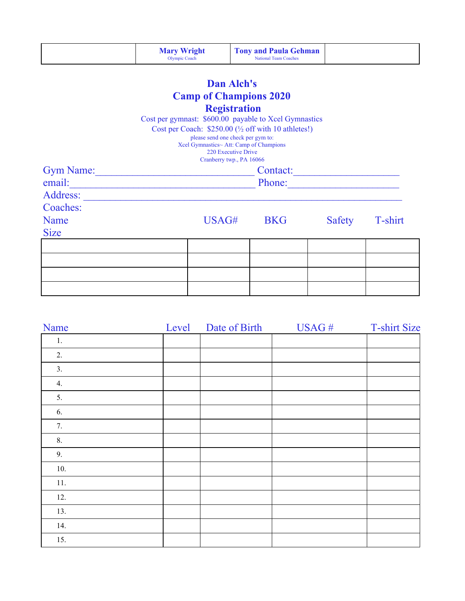|                               | <b>Mary Wright</b><br><b>Olympic Coach</b>                                                                                                                                                                                                     | <b>Tony and Paula Gehman</b><br><b>National Team Coaches</b>                                                                                                                                                   |        |         |  |  |  |  |  |
|-------------------------------|------------------------------------------------------------------------------------------------------------------------------------------------------------------------------------------------------------------------------------------------|----------------------------------------------------------------------------------------------------------------------------------------------------------------------------------------------------------------|--------|---------|--|--|--|--|--|
| <b>Dan Alch's</b>             |                                                                                                                                                                                                                                                |                                                                                                                                                                                                                |        |         |  |  |  |  |  |
| <b>Camp of Champions 2020</b> |                                                                                                                                                                                                                                                |                                                                                                                                                                                                                |        |         |  |  |  |  |  |
|                               | Cost per gymnast: \$600.00 payable to Xcel Gymnastics                                                                                                                                                                                          | <b>Registration</b><br>Cost per Coach: \$250.00 (1/2 off with 10 athletes!)<br>please send one check per gym to:<br>Xcel Gymnastics~ Att: Camp of Champions<br>220 Executive Drive<br>Cranberry twp., PA 16066 |        |         |  |  |  |  |  |
|                               | <b>Gym Name:</b> Gym Name:<br>Contact:                                                                                                                                                                                                         |                                                                                                                                                                                                                |        |         |  |  |  |  |  |
|                               | Phone:<br>email: <u>contract and the contract of the contract of the contract of the contract of the contract of the contract of the contract of the contract of the contract of the contract of the contract of the contract of the contr</u> |                                                                                                                                                                                                                |        |         |  |  |  |  |  |
| Address:<br>Coaches:          |                                                                                                                                                                                                                                                |                                                                                                                                                                                                                |        |         |  |  |  |  |  |
| Name<br><b>Size</b>           |                                                                                                                                                                                                                                                | USAG#<br><b>BKG</b>                                                                                                                                                                                            | Safety | T-shirt |  |  |  |  |  |
|                               |                                                                                                                                                                                                                                                |                                                                                                                                                                                                                |        |         |  |  |  |  |  |
|                               |                                                                                                                                                                                                                                                |                                                                                                                                                                                                                |        |         |  |  |  |  |  |
|                               |                                                                                                                                                                                                                                                |                                                                                                                                                                                                                |        |         |  |  |  |  |  |
|                               |                                                                                                                                                                                                                                                |                                                                                                                                                                                                                |        |         |  |  |  |  |  |

| Name | Level | Date of Birth | USAG# | <b>T-shirt Size</b> |
|------|-------|---------------|-------|---------------------|
| 1.   |       |               |       |                     |
| 2.   |       |               |       |                     |
| 3.   |       |               |       |                     |
| 4.   |       |               |       |                     |
| 5.   |       |               |       |                     |
| 6.   |       |               |       |                     |
| 7.   |       |               |       |                     |
| 8.   |       |               |       |                     |
| 9.   |       |               |       |                     |
| 10.  |       |               |       |                     |
| 11.  |       |               |       |                     |
| 12.  |       |               |       |                     |
| 13.  |       |               |       |                     |
| 14.  |       |               |       |                     |
| 15.  |       |               |       |                     |